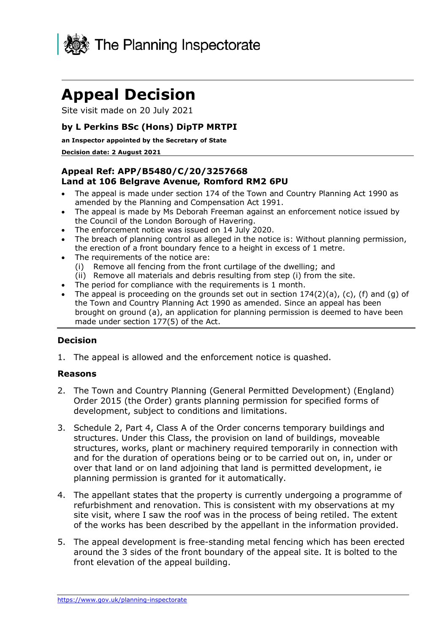

# **Appeal Decision**

Site visit made on 20 July 2021

## **by L Perkins BSc (Hons) DipTP MRTPI**

#### **an Inspector appointed by the Secretary of State**

#### **Decision date: 2 August 2021**

## **Appeal Ref: APP/B5480/C/20/3257668 Land at 106 Belgrave Avenue, Romford RM2 6PU**

- • The appeal is made under section 174 of the Town and Country Planning Act 1990 as amended by the Planning and Compensation Act 1991.
- • The appeal is made by Ms Deborah Freeman against an enforcement notice issued by the Council of the London Borough of Havering.
- The enforcement notice was issued on 14 July 2020.
- • The breach of planning control as alleged in the notice is: Without planning permission, the erection of a front boundary fence to a height in excess of 1 metre.
- The requirements of the notice are:
	- (i) Remove all fencing from the front curtilage of the dwelling; and
- (ii) Remove all materials and debris resulting from step (i) from the site.
- The period for compliance with the requirements is 1 month.
- The appeal is proceeding on the grounds set out in section 174(2)(a), (c), (f) and (g) of the Town and Country Planning Act 1990 as amended. Since an appeal has been brought on ground (a), an application for planning permission is deemed to have been made under section 177(5) of the Act.

### **Decision**

1. The appeal is allowed and the enforcement notice is quashed.

#### **Reasons**

- 2. The Town and Country Planning (General Permitted Development) (England) Order 2015 (the Order) grants planning permission for specified forms of development, subject to conditions and limitations.
- 3. Schedule 2, Part 4, Class A of the Order concerns temporary buildings and structures. Under this Class, the provision on land of buildings, moveable structures, works, plant or machinery required temporarily in connection with and for the duration of operations being or to be carried out on, in, under or over that land or on land adjoining that land is permitted development, ie planning permission is granted for it automatically.
- 4. The appellant states that the property is currently undergoing a programme of refurbishment and renovation. This is consistent with my observations at my site visit, where I saw the roof was in the process of being retiled. The extent of the works has been described by the appellant in the information provided.
- 5. The appeal development is free-standing metal fencing which has been erected around the 3 sides of the front boundary of the appeal site. It is bolted to the front elevation of the appeal building.